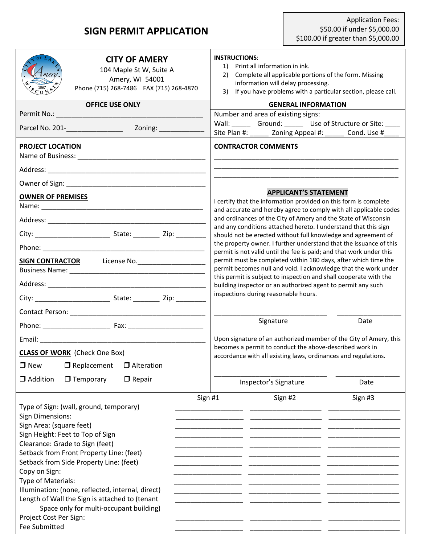## **SIGN PERMIT APPLICATION**

| 3)                                                                                                                                                                                                                                                                     | If you have problems with a particular section, please call.                                                                                                                                                                                                                                                                                                                                                                            |
|------------------------------------------------------------------------------------------------------------------------------------------------------------------------------------------------------------------------------------------------------------------------|-----------------------------------------------------------------------------------------------------------------------------------------------------------------------------------------------------------------------------------------------------------------------------------------------------------------------------------------------------------------------------------------------------------------------------------------|
| <b>GENERAL INFORMATION</b>                                                                                                                                                                                                                                             |                                                                                                                                                                                                                                                                                                                                                                                                                                         |
| Number and area of existing signs:                                                                                                                                                                                                                                     |                                                                                                                                                                                                                                                                                                                                                                                                                                         |
| Wall: Ground: Use of Structure or Site:                                                                                                                                                                                                                                |                                                                                                                                                                                                                                                                                                                                                                                                                                         |
| Site Plan #: Zoning Appeal #: Cond. Use #                                                                                                                                                                                                                              |                                                                                                                                                                                                                                                                                                                                                                                                                                         |
| <b>CONTRACTOR COMMENTS</b>                                                                                                                                                                                                                                             |                                                                                                                                                                                                                                                                                                                                                                                                                                         |
|                                                                                                                                                                                                                                                                        |                                                                                                                                                                                                                                                                                                                                                                                                                                         |
|                                                                                                                                                                                                                                                                        |                                                                                                                                                                                                                                                                                                                                                                                                                                         |
|                                                                                                                                                                                                                                                                        |                                                                                                                                                                                                                                                                                                                                                                                                                                         |
|                                                                                                                                                                                                                                                                        |                                                                                                                                                                                                                                                                                                                                                                                                                                         |
| and ordinances of the City of Amery and the State of Wisconsin                                                                                                                                                                                                         |                                                                                                                                                                                                                                                                                                                                                                                                                                         |
| should not be erected without full knowledge and agreement of                                                                                                                                                                                                          |                                                                                                                                                                                                                                                                                                                                                                                                                                         |
| permit is not valid until the fee is paid; and that work under this                                                                                                                                                                                                    |                                                                                                                                                                                                                                                                                                                                                                                                                                         |
| permit must be completed within 180 days, after which time the<br>permit becomes null and void. I acknowledge that the work under<br>this permit is subject to inspection and shall cooperate with the<br>building inspector or an authorized agent to permit any such |                                                                                                                                                                                                                                                                                                                                                                                                                                         |
|                                                                                                                                                                                                                                                                        |                                                                                                                                                                                                                                                                                                                                                                                                                                         |
|                                                                                                                                                                                                                                                                        |                                                                                                                                                                                                                                                                                                                                                                                                                                         |
| Signature                                                                                                                                                                                                                                                              | Date                                                                                                                                                                                                                                                                                                                                                                                                                                    |
| Upon signature of an authorized member of the City of Amery, this                                                                                                                                                                                                      |                                                                                                                                                                                                                                                                                                                                                                                                                                         |
| accordance with all existing laws, ordinances and regulations.                                                                                                                                                                                                         |                                                                                                                                                                                                                                                                                                                                                                                                                                         |
|                                                                                                                                                                                                                                                                        |                                                                                                                                                                                                                                                                                                                                                                                                                                         |
| Inspector's Signature                                                                                                                                                                                                                                                  | Date                                                                                                                                                                                                                                                                                                                                                                                                                                    |
|                                                                                                                                                                                                                                                                        | Sign #3                                                                                                                                                                                                                                                                                                                                                                                                                                 |
|                                                                                                                                                                                                                                                                        | <b>APPLICANT'S STATEMENT</b><br>I certify that the information provided on this form is complete<br>and accurate and hereby agree to comply with all applicable codes<br>and any conditions attached hereto. I understand that this sign<br>the property owner. I further understand that the issuance of this<br>inspections during reasonable hours.<br>becomes a permit to conduct the above-described work in<br>Sign #1<br>Sign #2 |